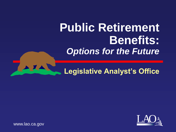# **Public Retirement Benefits:** *Options for the Future*



**Legislative Analyst's Office**



www.lao.ca.gov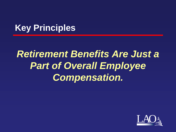### **Key Principles**

# *Retirement Benefits Are Just a Part of Overall Employee Compensation.*

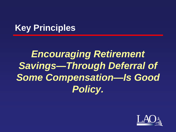### **Key Principles**

# *Encouraging Retirement Savings—Through Deferral of Some Compensation—Is Good Policy.*

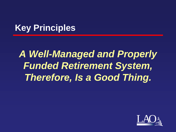### **Key Principles**

# *A Well-Managed and Properly Funded Retirement System, Therefore, Is a Good Thing.*

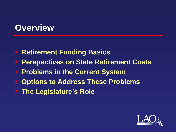#### **Overview**

- **Retirement Funding Basics**
- **Perspectives on State Retirement Costs**
- **Problems in the Current System**
- **Options to Address These Problems**
- **The Legislature's Role**

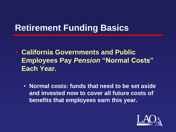- **California Governments and Public Employees Pay** *Pension* **"Normal Costs" Each Year.**
	- **Normal costs: funds that need to be set aside and invested now to cover all future costs of benefits that employees earn this year.**

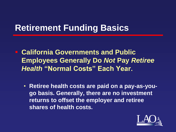**California Governments and Public Employees Generally Do** *Not* **Pay** *Retiree Health* **"Normal Costs" Each Year.**

• **Retiree health costs are paid on a pay-as-yougo basis. Generally, there are no investment returns to offset the employer and retiree shares of health costs.**

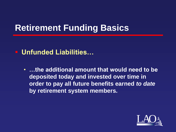#### **Unfunded Liabilities…**

• **…the additional amount that would need to be deposited today and invested over time in order to pay all future benefits earned** *to date*  **by retirement system members.**

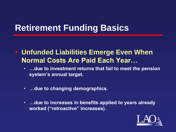**Unfunded Liabilities Emerge Even When Normal Costs Are Paid Each Year…**

- **…due to investment returns that fail to meet the pension system's annual target.**
- **…due to changing demographics.**
- **…due to increases in benefits applied to years already worked ("retroactive" increases).**

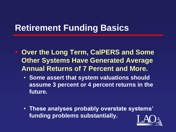- **Over the Long Term, CalPERS and Some Other Systems Have Generated Average Annual Returns of 7 Percent and More.** 
	- **Some assert that system valuations should assume 3 percent or 4 percent returns in the future.**
	- **These analyses probably overstate systems' funding problems substantially.**

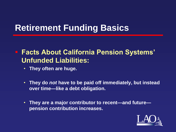#### **Facts About California Pension Systems' Unfunded Liabilities:**

- **They often are huge.**
- **They do** *not* **have to be paid off immediately, but instead over time—like a debt obligation.**
- **They are a major contributor to recent—and future pension contribution increases.**

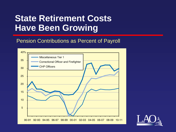#### **State Retirement Costs Have Been Growing**

#### Pension Contributions as Percent of Payroll



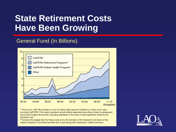#### **State Retirement Costs Have Been Growing**

#### General Fund (In Billions)



a Amount for 1997-98 includes an over \$1 billion state payment related to a major court case involving CalPERS. Prior years represent actual dollars expended according to data in subsequent Governor's budget documents, including estimates of the share of total payments made by the **General Fund.** 

b Includes the budget item for these costs and LAO estimate of the General Fund share of the implicit subsidy for annuitant benefits that is paid along with employees' health premiums.

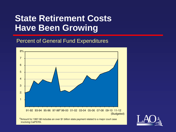#### **State Retirement Costs Have Been Growing**

#### Percent of General Fund Expenditures



a Amount for 1997-98 includes an over \$1 billion state payment related to a major court case involving CalPERS.

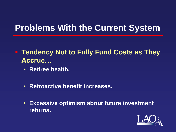- **Tendency Not to Fully Fund Costs as They Accrue…**
	- **Retiree health.**
	- **Retroactive benefit increases.**
	- **Excessive optimism about future investment returns.**

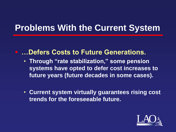#### **…Defers Costs to Future Generations.**

- **Through "rate stabilization," some pension systems have opted to defer cost increases to future years (future decades in some cases).**
- **Current system virtually guarantees rising cost trends for the foreseeable future.**

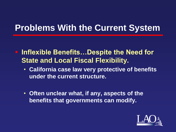- **Inflexible Benefits...Despite the Need for State and Local Fiscal Flexibility.**
	- **California case law very protective of benefits under the current structure.**
	- **Often unclear what, if any, aspects of the benefits that governments can modify.**

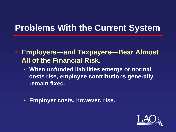**Employers—and Taxpayers—Bear Almost All of the Financial Risk.**

- **When unfunded liabilities emerge or normal costs rise, employee contributions generally remain fixed.**
- **Employer costs, however, rise.**

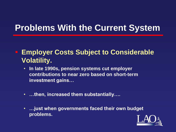#### **Employer Costs Subject to Considerable Volatility.**

- **In late 1990s, pension systems cut employer contributions to near zero based on short-term investment gains…**
- **…then, increased them substantially….**
- **…just when governments faced their own budget problems.**

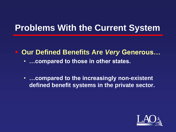■ Our Defined Benefits Are *Very* Generous...

- **…compared to those in other states.**
- **…compared to the increasingly non-existent defined benefit systems in the private sector.**

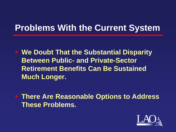**We Doubt That the Substantial Disparity Between Public- and Private-Sector Retirement Benefits Can Be Sustained Much Longer.**

 **There Are Reasonable Options to Address These Problems.**

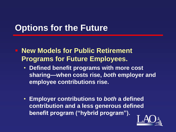**New Models for Public Retirement Programs for Future Employees.**

- **Defined benefit programs with more cost sharing—when costs rise,** *both* **employer and employee contributions rise.**
- **Employer contributions to** *both* **a defined contribution and a less generous defined benefit program ("hybrid program").**

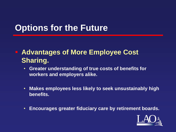#### **Advantages of More Employee Cost Sharing.**

- **Greater understanding of true costs of benefits for workers and employers alike.**
- **Makes employees less likely to seek unsustainably high benefits.**
- **Encourages greater fiduciary care by retirement boards.**

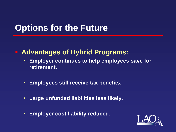#### **Advantages of Hybrid Programs:**

- **Employer continues to help employees save for retirement.**
- **Employees still receive tax benefits.**
- **Large unfunded liabilities less likely.**
- **Employer cost liability reduced.**

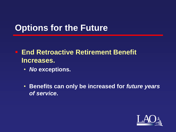- **End Retroactive Retirement Benefit Increases.**
	- *No* **exceptions.**
	- **Benefits can only be increased for** *future years of service***.**

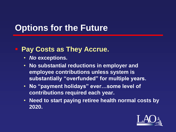#### **Pay Costs as They Accrue.**

- *No* **exceptions.**
- **No substantial reductions in employer and employee contributions unless system is substantially "overfunded" for multiple years.**
- **No "payment holidays" ever…some level of contributions required each year.**
- **Need to start paying retiree health normal costs by 2020.**

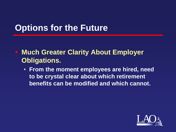**EXAMUCH Greater Clarity About Employer Obligations.**

• **From the moment employees are hired, need to be crystal clear about which retirement benefits can be modified and which cannot.**

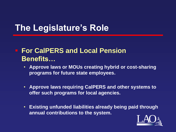#### **For CalPERS and Local Pension Benefits…**

- **Approve laws or MOUs creating hybrid or cost-sharing programs for future state employees.**
- **Approve laws requiring CalPERS and other systems to offer such programs for local agencies.**
- **Existing unfunded liabilities already being paid through annual contributions to the system.**

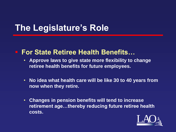#### **For State Retiree Health Benefits…**

- **Approve laws to give state more flexibility to change retiree health benefits for future employees.**
- **No idea what health care will be like 30 to 40 years from now when they retire.**
- **Changes in pension benefits will tend to increase retirement age…thereby reducing future retiree health costs.**

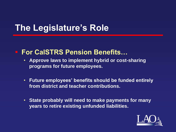#### **For CalSTRS Pension Benefits…**

- **Approve laws to implement hybrid or cost-sharing programs for future employees.**
- **Future employees' benefits should be funded entirely from district and teacher contributions.**
- **State probably will need to make payments for many years to retire existing unfunded liabilities.**

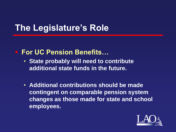#### **For UC Pension Benefits…**

- **State probably will need to contribute additional state funds in the future.**
- **Additional contributions should be made contingent on comparable pension system changes as those made for state and school employees.**